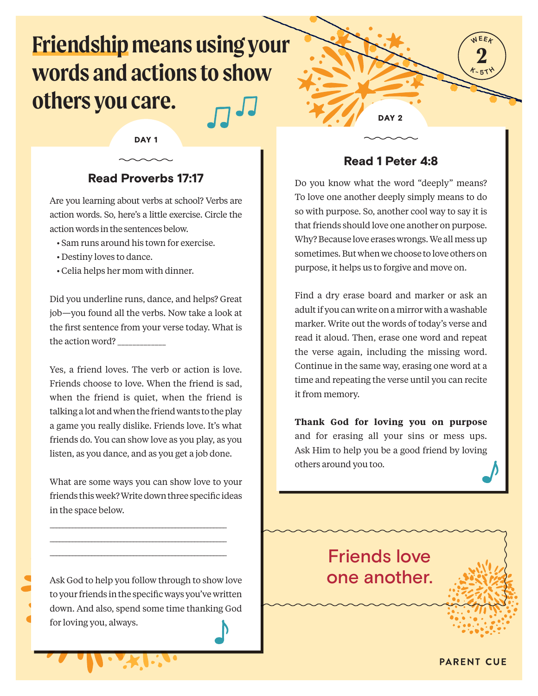# **Friendship means using your words and actions to show others you care.**

### DAY<sub>1</sub>

### Read Proverbs 17:17

Are you learning about verbs at school? Verbs are action words. So, here's a little exercise. Circle the action words in the sentences below.

- Sam runs around his town for exercise.
- Destiny loves to dance.
- Celia helps her mom with dinner.

Did you underline runs, dance, and helps? Great job—you found all the verbs. Now take a look at the first sentence from your verse today. What is the action word? \_\_\_\_\_\_\_\_\_\_\_\_\_

Yes, a friend loves. The verb or action is love. Friends choose to love. When the friend is sad, when the friend is quiet, when the friend is talking a lot and when the friend wants to the play a game you really dislike. Friends love. It's what friends do. You can show love as you play, as you listen, as you dance, and as you get a job done.

What are some ways you can show love to your friends this week? Write down three specific ideas in the space below.

\_\_\_\_\_\_\_\_\_\_\_\_\_\_\_\_\_\_\_\_\_\_\_\_\_\_\_\_\_\_\_\_\_\_\_\_\_\_\_\_\_\_\_\_\_\_\_\_\_\_\_\_\_\_\_ \_\_\_\_\_\_\_\_\_\_\_\_\_\_\_\_\_\_\_\_\_\_\_\_\_\_\_\_\_\_\_\_\_\_\_\_\_\_\_\_\_\_\_\_\_\_\_\_\_\_\_\_\_\_\_ \_\_\_\_\_\_\_\_\_\_\_\_\_\_\_\_\_\_\_\_\_\_\_\_\_\_\_\_\_\_\_\_\_\_\_\_\_\_\_\_\_\_\_\_\_\_\_\_\_\_\_\_\_\_\_

Ask God to help you follow through to show love to your friends in the specific ways you've written down. And also, spend some time thanking God for loving you, always.

### Read 1 Peter 4:8

DAY<sub>2</sub>

**2 WEEK**

**K -** $-5$   $\uparrow$   $\uparrow$ 

Do you know what the word "deeply" means? To love one another deeply simply means to do so with purpose. So, another cool way to say it is that friends should love one another on purpose. Why? Because love erases wrongs. We all mess up sometimes. But when we choose to love others on purpose, it helps us to forgive and move on.

Find a dry erase board and marker or ask an adult if you can write on a mirror with a washable marker. Write out the words of today's verse and read it aloud. Then, erase one word and repeat the verse again, including the missing word. Continue in the same way, erasing one word at a time and repeating the verse until you can recite it from memory.

**Thank God for loving you on purpose** and for erasing all your sins or mess ups. Ask Him to help you be a good friend by loving others around you too.

## Friends love one another.

**PARENT CUE**